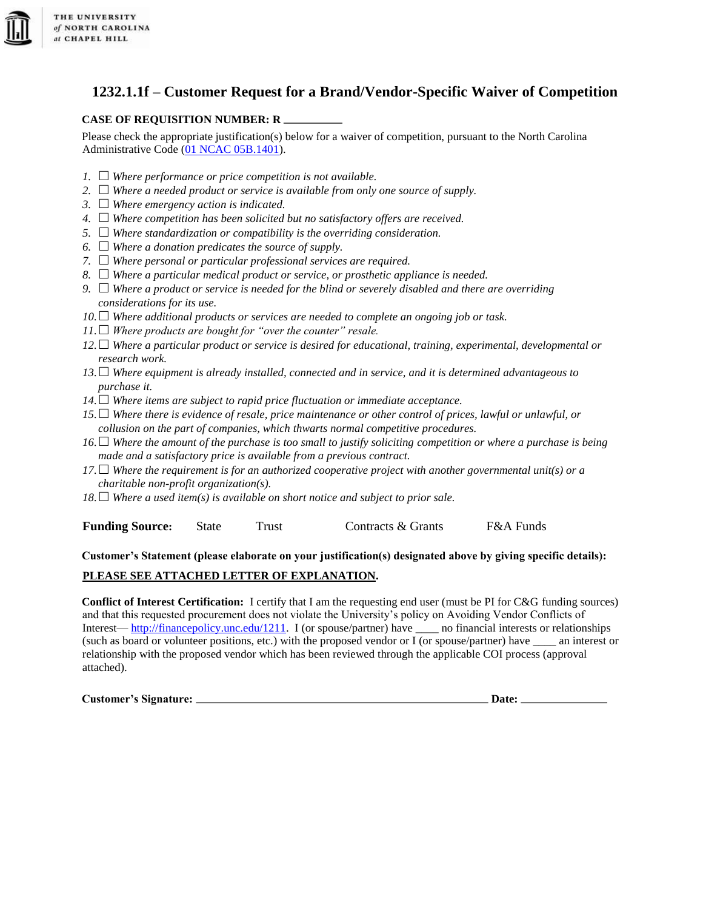

## **1232.1.1f – Customer Request for a Brand/Vendor-Specific Waiver of Competition**

## **CASE OF REQUISITION NUMBER: R**

Please check the appropriate justification(s) below for a waiver of competition, pursuant to the North Carolina Administrative Code [\(01 NCAC 05B.1401\).](http://ncrules.state.nc.us/ncac/title%2001%20-%20administration/chapter%2005%20-%20purchase%20and%20contract/subchapter%20b/01%20ncac%2005b%20.1401.html)

- *1.*  $\Box$  Where performance or price competition is not available.
- 2.  $\Box$  Where a needed product or service is available from only one source of supply.
- *3. Where emergency action is indicated.*
- *4. Where competition has been solicited but no satisfactory offers are received.*
- *5. Where standardization or compatibility is the overriding consideration.*
- $6. \Box$  Where a donation predicates the source of supply.
- *7. Where personal or particular professional services are required.*
- *8. Where a particular medical product or service, or prosthetic appliance is needed.*
- *9. Where a product or service is needed for the blind or severely disabled and there are overriding considerations for its use.*
- *10. Where additional products or services are needed to complete an ongoing job or task.*
- $11.$  *Where products are bought for "over the counter" resale.*
- *12. Where a particular product or service is desired for educational, training, experimental, developmental or research work.*
- *13. Where equipment is already installed, connected and in service, and it is determined advantageous to purchase it.*
- *14. Where items are subject to rapid price fluctuation or immediate acceptance.*
- *15. Where there is evidence of resale, price maintenance or other control of prices, lawful or unlawful, or collusion on the part of companies, which thwarts normal competitive procedures.*
- *16. Where the amount of the purchase is too small to justify soliciting competition or where a purchase is being made and a satisfactory price is available from a previous contract.*
- *17. Where the requirement is for an authorized cooperative project with another governmental unit(s) or a charitable non-profit organization(s).*
- $18. \Box$  Where a used item(s) is available on short notice and subject to prior sale.

**Funding Source:** State Trust Contracts & Grants F&A Funds

## **Customer's Statement (please elaborate on your justification(s) designated above by giving specific details): PLEASE SEE ATTACHED LETTER OF EXPLANATION.**

**Conflict of Interest Certification:** I certify that I am the requesting end user (must be PI for C&G funding sources) and that this requested procurement does not violate the University's policy on Avoiding Vendor Conflicts of Interest— [http://financepolicy.unc.edu/1211.](http://financepolicy.unc.edu/1211) I (or spouse/partner) have \_\_\_\_ no financial interests or relationships (such as board or volunteer positions, etc.) with the proposed vendor or I (or spouse/partner) have \_\_\_\_ an interest or relationship with the proposed vendor which has been reviewed through the applicable COI process (approval attached).

**Customer's Signature: Date:**